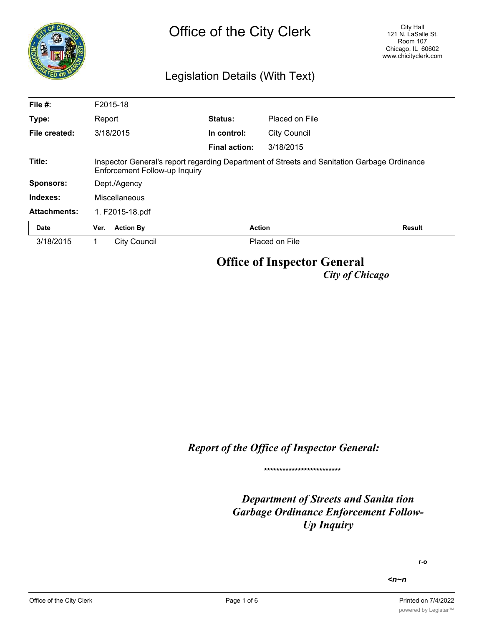| <b>Aco</b>          |                                                                                                                              | City Hall<br>Office of the City Clerk<br>121 N. LaSalle St.<br>Room 107<br>Chicago, IL 60602<br>www.chicityclerk.com<br>Legislation Details (With Text) |  |                      |                     |               |  |
|---------------------|------------------------------------------------------------------------------------------------------------------------------|---------------------------------------------------------------------------------------------------------------------------------------------------------|--|----------------------|---------------------|---------------|--|
| File #:             |                                                                                                                              | F2015-18                                                                                                                                                |  |                      |                     |               |  |
| Type:               | Report                                                                                                                       |                                                                                                                                                         |  | Status:              | Placed on File      |               |  |
| File created:       |                                                                                                                              | 3/18/2015                                                                                                                                               |  | In control:          | <b>City Council</b> |               |  |
|                     |                                                                                                                              |                                                                                                                                                         |  | <b>Final action:</b> | 3/18/2015           |               |  |
| Title:              | Inspector General's report regarding Department of Streets and Sanitation Garbage Ordinance<br>Enforcement Follow-up Inquiry |                                                                                                                                                         |  |                      |                     |               |  |
| <b>Sponsors:</b>    |                                                                                                                              | Dept./Agency                                                                                                                                            |  |                      |                     |               |  |
| Indexes:            |                                                                                                                              | Miscellaneous                                                                                                                                           |  |                      |                     |               |  |
| <b>Attachments:</b> |                                                                                                                              | 1. F2015-18.pdf                                                                                                                                         |  |                      |                     |               |  |
| <b>Date</b>         | Ver.                                                                                                                         | <b>Action By</b>                                                                                                                                        |  |                      | <b>Action</b>       | <b>Result</b> |  |
| 3/18/2015           | 1                                                                                                                            | City Council                                                                                                                                            |  |                      | Placed on File      |               |  |
|                     |                                                                                                                              |                                                                                                                                                         |  |                      |                     |               |  |

# **Office of Inspector General**

*City of Chicago*

*Report of the Office of Inspector General:*

**\*\*\*\*\*\*\*\*\*\*\*\*\*\*\*\*\*\*\*\*\*\*\*\*\***

*Department of Streets and Sanita tion Garbage Ordinance Enforcement Follow-Up Inquiry*

**r-o**

*<n~n*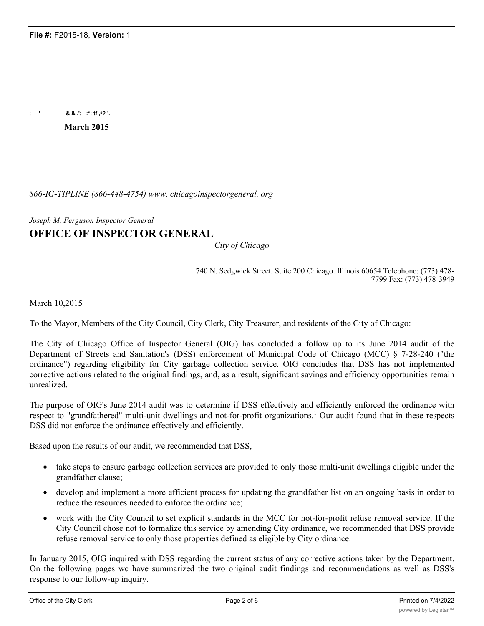**; ' & & .'; \_:\*; tf ,s? '.**

**March 2015**

## *866-IG-TIPLINE (866-448-4754) www, chicagoinspectorgeneral. org*

## *Joseph M. Ferguson Inspector General* **OFFICE OF INSPECTOR GENERAL**

*City of Chicago*

740 N. Sedgwick Street. Suite 200 Chicago. Illinois 60654 Telephone: (773) 478- 7799 Fax: (773) 478-3949

March 10,2015

To the Mayor, Members of the City Council, City Clerk, City Treasurer, and residents of the City of Chicago:

The City of Chicago Office of Inspector General (OIG) has concluded a follow up to its June 2014 audit of the Department of Streets and Sanitation's (DSS) enforcement of Municipal Code of Chicago (MCC) § 7-28-240 ("the ordinance") regarding eligibility for City garbage collection service. OIG concludes that DSS has not implemented corrective actions related to the original findings, and, as a result, significant savings and efficiency opportunities remain unrealized.

The purpose of OIG's June 2014 audit was to determine if DSS effectively and efficiently enforced the ordinance with respect to "grandfathered" multi-unit dwellings and not-for-profit organizations.1 Our audit found that in these respects DSS did not enforce the ordinance effectively and efficiently.

Based upon the results of our audit, we recommended that DSS,

- · take steps to ensure garbage collection services are provided to only those multi-unit dwellings eligible under the grandfather clause;
- develop and implement a more efficient process for updating the grandfather list on an ongoing basis in order to reduce the resources needed to enforce the ordinance;
- work with the City Council to set explicit standards in the MCC for not-for-profit refuse removal service. If the City Council chose not to formalize this service by amending City ordinance, we recommended that DSS provide refuse removal service to only those properties defined as eligible by City ordinance.

In January 2015, OIG inquired with DSS regarding the current status of any corrective actions taken by the Department. On the following pages wc have summarized the two original audit findings and recommendations as well as DSS's response to our follow-up inquiry.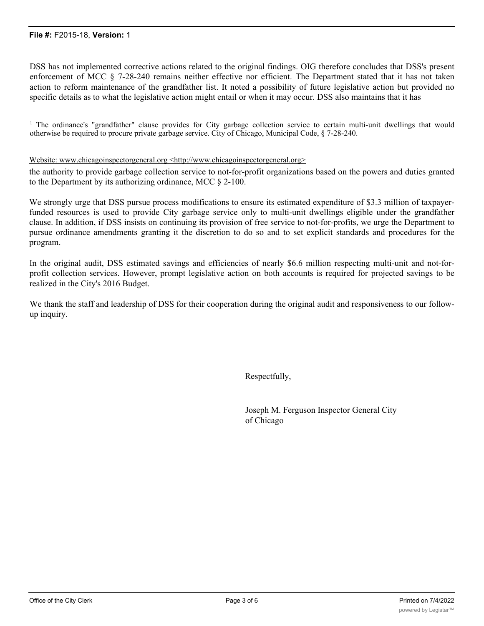DSS has not implemented corrective actions related to the original findings. OIG therefore concludes that DSS's present enforcement of MCC § 7-28-240 remains neither effective nor efficient. The Department stated that it has not taken action to reform maintenance of the grandfather list. It noted a possibility of future legislative action but provided no specific details as to what the legislative action might entail or when it may occur. DSS also maintains that it has

<sup>1</sup> The ordinance's "grandfather" clause provides for City garbage collection service to certain multi-unit dwellings that would otherwise be required to procure private garbage service. City of Chicago, Municipal Code, § 7-28-240.

#### Website: www.chicagoinspcctorgcneral.org <http://www.chicagoinspcctorgcneral.org>

the authority to provide garbage collection service to not-for-profit organizations based on the powers and duties granted to the Department by its authorizing ordinance, MCC § 2-100.

We strongly urge that DSS pursue process modifications to ensure its estimated expenditure of \$3.3 million of taxpayerfunded resources is used to provide City garbage service only to multi-unit dwellings eligible under the grandfather clause. In addition, if DSS insists on continuing its provision of free service to not-for-profits, we urge the Department to pursue ordinance amendments granting it the discretion to do so and to set explicit standards and procedures for the program.

In the original audit, DSS estimated savings and efficiencies of nearly \$6.6 million respecting multi-unit and not-forprofit collection services. However, prompt legislative action on both accounts is required for projected savings to be realized in the City's 2016 Budget.

We thank the staff and leadership of DSS for their cooperation during the original audit and responsiveness to our followup inquiry.

Respectfully,

Joseph M. Ferguson Inspector General City of Chicago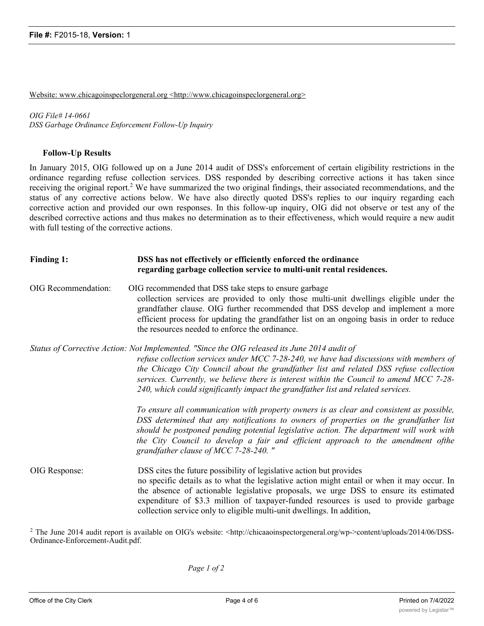Website: www.chicagoinspeclorgeneral.org <http://www.chicagoinspeclorgeneral.org>

*OIG File# 14-0661 DSS Garbage Ordinance Enforcement Follow-Up Inquiry*

## **Follow-Up Results**

In January 2015, OIG followed up on a June 2014 audit of DSS's enforcement of certain eligibility restrictions in the ordinance regarding refuse collection services. DSS responded by describing corrective actions it has taken since receiving the original report.<sup>2</sup> We have summarized the two original findings, their associated recommendations, and the status of any corrective actions below. We have also directly quoted DSS's replies to our inquiry regarding each corrective action and provided our own responses. In this follow-up inquiry, OIG did not observe or test any of the described corrective actions and thus makes no determination as to their effectiveness, which would require a new audit with full testing of the corrective actions.

| Finding 1:          | DSS has not effectively or efficiently enforced the ordinance<br>regarding garbage collection service to multi-unit rental residences.                                                                                                                                                                                                                                                                                                                         |  |  |
|---------------------|----------------------------------------------------------------------------------------------------------------------------------------------------------------------------------------------------------------------------------------------------------------------------------------------------------------------------------------------------------------------------------------------------------------------------------------------------------------|--|--|
| OIG Recommendation: | OIG recommended that DSS take steps to ensure garbage<br>collection services are provided to only those multi-unit dwellings eligible under the<br>grandfather clause. OIG further recommended that DSS develop and implement a more<br>efficient process for updating the grandfather list on an ongoing basis in order to reduce<br>the resources needed to enforce the ordinance.                                                                           |  |  |
|                     | Status of Corrective Action: Not Implemented. "Since the OIG released its June 2014 audit of<br>refuse collection services under MCC 7-28-240, we have had discussions with members of<br>the Chicago City Council about the grandfather list and related DSS refuse collection<br>services. Currently, we believe there is interest within the Council to amend MCC 7-28-<br>240, which could significantly impact the grandfather list and related services. |  |  |
|                     | To ensure all communication with property owners is as clear and consistent as possible,<br>DSS determined that any notifications to owners of properties on the grandfather list<br>should be postponed pending potential legislative action. The department will work with<br>the City Council to develop a fair and efficient approach to the amendment ofthe<br>grandfather clause of MCC 7-28-240."                                                       |  |  |
| OIG Response:       | DSS cites the future possibility of legislative action but provides<br>no specific details as to what the legislative action might entail or when it may occur. In<br>the absence of actionable legislative proposals, we urge DSS to ensure its estimated<br>expenditure of \$3.3 million of taxpayer-funded resources is used to provide garbage<br>collection service only to eligible multi-unit dwellings. In addition,                                   |  |  |

<sup>2</sup> The June 2014 audit report is available on OIG's website:  $\langle \text{http://chicaao} \rangle$ ispectorgeneral.org/wp->content/uploads/2014/06/DSS-Ordinance-Enforcement-Audit.pdf.

*Page 1 of 2*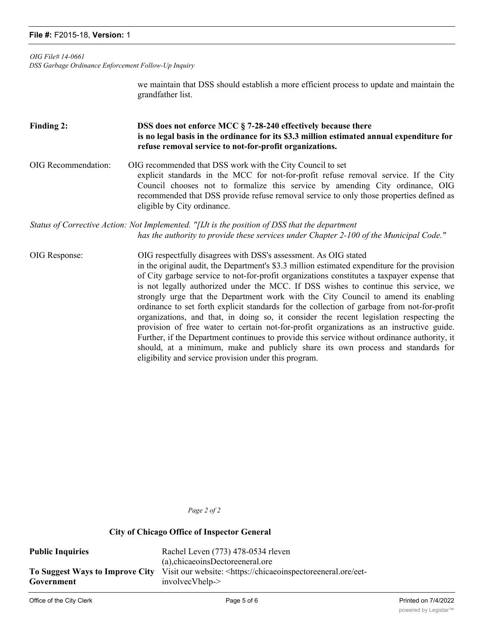## **File #:** F2015-18, **Version:** 1

*OIG File# 14-0661*

*DSS Garbage Ordinance Enforcement Follow-Up Inquiry*

we maintain that DSS should establish a more efficient process to update and maintain the grandfather list.

## **Finding 2: DSS does not enforce MCC § 7-28-240 effectively because there is no legal basis in the ordinance for its \$3.3 million estimated annual expenditure for refuse removal service to not-for-profit organizations.**

## OIG Recommendation: OIG recommended that DSS work with the City Council to set explicit standards in the MCC for not-for-profit refuse removal service. If the City Council chooses not to formalize this service by amending City ordinance, OIG recommended that DSS provide refuse removal service to only those properties defined as eligible by City ordinance.

## *Status of Corrective Action: Not Implemented. "[IJt is the position of DSS that the department has the authority to provide these services under Chapter 2-100 of the Municipal Code."*

OIG Response: OIG respectfully disagrees with DSS's assessment. As OIG stated in the original audit, the Department's \$3.3 million estimated expenditure for the provision of City garbage service to not-for-profit organizations constitutes a taxpayer expense that is not legally authorized under the MCC. If DSS wishes to continue this service, we strongly urge that the Department work with the City Council to amend its enabling ordinance to set forth explicit standards for the collection of garbage from not-for-profit organizations, and that, in doing so, it consider the recent legislation respecting the provision of free water to certain not-for-profit organizations as an instructive guide. Further, if the Department continues to provide this service without ordinance authority, it should, at a minimum, make and publicly share its own process and standards for eligibility and service provision under this program.

*Page 2 of 2*

## **City of Chicago Office of Inspector General**

Public Inquiries Rachel Leven (773) 478-0534 rleven (a),chicaeoinsDectoreeneral.ore **To Suggest Ways to Improve City Government** Visit our website: <https://chicaeoinspectoreeneral.ore/eetinvolvecVhelp-> improve-city-government/service-city-government/service-city-government/service